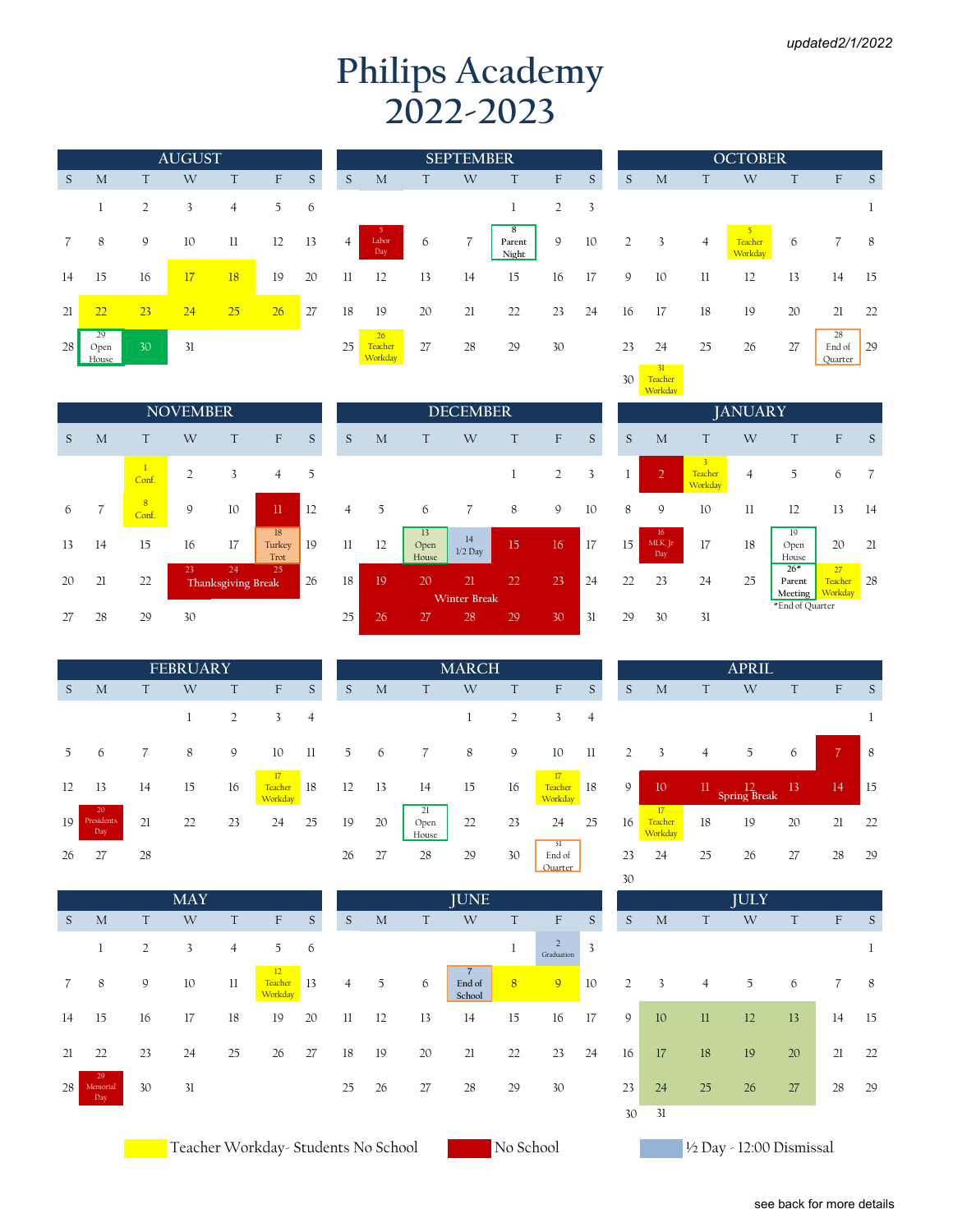## **Philips Academy 2022-2023**

|    |                     |    | <b>AUGUST</b> |                |    |    |                |
|----|---------------------|----|---------------|----------------|----|----|----------------|
| S  | M                   | T  | W             | T              | F  | S  | S              |
|    | 1                   | 2  | 3             | $\overline{4}$ | 5  | 6  |                |
| 7  | 8                   | 9  | 10            | 11             | 12 | 13 | $\overline{4}$ |
| 14 | 15                  | 16 | 17            | 18             | 19 | 20 | 11             |
| 21 | 22                  | 23 | 24            | 25             | 26 | 27 | 18             |
| 28 | 29<br>Open<br>House | 30 | 31            |                |    |    | 25             |

| М                   | T  | W  |             | F  | S           | S              | M                        | T  | W              | T                    | F  | S                         | S              | M                    | T              | W                  |    | F                       |                |
|---------------------|----|----|-------------|----|-------------|----------------|--------------------------|----|----------------|----------------------|----|---------------------------|----------------|----------------------|----------------|--------------------|----|-------------------------|----------------|
|                     | 2  | 3  | 4           | 5  | 6           |                |                          |    |                |                      | 2  | $\overline{\phantom{a}3}$ |                |                      |                |                    |    |                         |                |
| 8                   | 9  | 10 | $_{\rm ll}$ | 12 | -13         | $\overline{4}$ | $-5$<br>Labor<br>Day     | 6  | $\overline{7}$ | 8<br>Parent<br>Night | 9  | 10                        | $\overline{2}$ | 3                    | $\overline{4}$ | Teacher<br>Workday | 6  |                         | $\{$           |
| 5                   | 16 | 17 | 18          | 19 | 20          | 11             | 12                       | 13 | 14             | 15                   | 16 | 17                        | 9              | 10                   | 11             | 12                 | 13 | 14                      | $\mathbf{1}$   |
|                     | 23 | 24 | 25          | 26 | $\sqrt{27}$ | 18             | 19                       | 20 | 21             | 22                   | 23 | 24                        | 16             | 17                   | 18             | 19                 | 20 | 21                      | $\overline{2}$ |
| $29-$<br>pen<br>use | 30 | 31 |             |    |             | 25             | 26<br>Teacher<br>Workday | 27 | 28             | 29                   | 30 |                           | 23             | 24<br>$\frac{31}{2}$ | 25             | 26                 | 27 | 28<br>End of<br>Quarter | 2              |

|                |                                  |                 | <b>AUGUST</b> |                |    |    |                |                          |    | <b>SEPTEMBER</b> |                      |    |    |    |          |                | <b>OCTOBER</b>          |    |                           |     |
|----------------|----------------------------------|-----------------|---------------|----------------|----|----|----------------|--------------------------|----|------------------|----------------------|----|----|----|----------|----------------|-------------------------|----|---------------------------|-----|
| S              | M                                |                 | W             | T              | F  | S  | S              | M                        |    | W                |                      | F  | S  | S  | M        | T              | W                       | T  | $\boldsymbol{\mathrm{F}}$ | -S  |
|                |                                  | 2               | 3             | $\overline{4}$ | 5  | 6  |                |                          |    |                  |                      | 2  | 3  |    |          |                |                         |    |                           |     |
| $\overline{7}$ | 8                                | 9               | 10            | 11             | 12 | 13 | $\overline{4}$ | Labor<br>Day             | 6  | 7                | 8<br>Parent<br>Night | 9  | 10 | 2  | 3        | $\overline{4}$ | 5<br>Teacher<br>Workday | 6  |                           | - 8 |
| 14             | 15                               | 16              | 17            | 18             | 19 | 20 | 11             | 12                       | 13 | 14               | 15                   | 16 | 17 | 9  | 10       | $_{11}$        | 12                      | 13 | 14                        | 15  |
| 21             | 22                               | 23              | 24            | 25             | 26 | 27 | 18             | 19                       | 20 | 21               | 22                   | 23 | 24 | 16 | 17       | 18             | 19                      | 20 | 21                        | 22  |
| 28             | 29<br>Open<br>House <sub>_</sub> | 30 <sup>°</sup> | 31            |                |    |    | 25             | 26<br>Teacher<br>Workday | 27 | 28               | 29                   | 30 |    | 23 | 24<br>31 | 25             | 26                      | 27 | 28<br>End of<br>Quarter   | 29  |
|                |                                  |                 |               |                |    |    |                |                          |    |                  |                      |    |    | 30 | Teacher  |                |                         |    |                           |     |

|    |                |                         | <b>NOVEMBER</b> |                          |                      |    |
|----|----------------|-------------------------|-----------------|--------------------------|----------------------|----|
| S  | M              | T                       | W               | $\top$                   | F                    | S  |
|    |                | 1<br>Conf.              | $\overline{2}$  | 3                        | 4                    | 5  |
| 6  | $\overline{7}$ | $\overline{8}$<br>Conf. | 9               | 10                       | 11                   | 12 |
| 13 | 14             | 15                      | 16              | 17                       | 18<br>Turkey<br>Trot | 19 |
| 20 | 21             | 22                      | 23              | 24<br>Thanksgiving Break | 25                   | 26 |
| 27 | 28             | 29                      | 30              |                          |                      |    |

|    |                         |    | <b>FEBRUARY</b> |    |                          |    |    |    |                     | <b>MARCH</b> |    |
|----|-------------------------|----|-----------------|----|--------------------------|----|----|----|---------------------|--------------|----|
| S  | M                       | T  | W               | T  | F                        | S  | S  | M  | T                   | W            | T  |
|    |                         |    | 1               | 2  | 3                        | 4  |    |    |                     | 1            | 2  |
| 5  | 6                       | 7  | 8               | 9  | 10                       | 11 | 5  | 6  | 7                   | 8            | 9  |
| 12 | 13                      | 14 | 15              | 16 | 17<br>Teacher<br>Workday | 18 | 12 | 13 | 14                  | 15           | 16 |
| 19 | 20<br>Presidents<br>Day | 21 | 22              | 23 | 24                       | 25 | 19 | 20 | 21<br>Open<br>House | 22           | 23 |
| 26 | 27                      | 28 |                 |    |                          |    | 26 | 27 | 28                  | 29           | 30 |

|    |                       |    | <b>MAY</b> |                |                          |    |
|----|-----------------------|----|------------|----------------|--------------------------|----|
| S  | M                     | T  | W          | T              | F                        | S  |
|    | 1                     | 2  | 3          | $\overline{4}$ | 5                        | 6  |
| 7  | 8                     | 9  | 10         | 11             | 12<br>Teacher<br>Workday | 13 |
| 14 | 15                    | 16 | 17         | 18             | 19                       | 20 |
| 21 | 22                    | 23 | 24         | 25             | 26                       | 27 |
| 28 | 29<br>Memorial<br>Day | 30 | 31         |                |                          |    |

|    |    |            | <b>NOVEMBER</b> |                          |                      |              |                |    |                     | <b>DECEMBER</b>           |    |    |    |    |                                          |                                      | <b>JANUARY</b> |                            |                             |                |
|----|----|------------|-----------------|--------------------------|----------------------|--------------|----------------|----|---------------------|---------------------------|----|----|----|----|------------------------------------------|--------------------------------------|----------------|----------------------------|-----------------------------|----------------|
| S. | M  |            | W               |                          | F                    | <sub>S</sub> | S              | M  |                     | W                         |    | F  | S  | S  | M                                        |                                      | W              | T                          | F                           | S              |
|    |    | Conf.      | $\overline{2}$  | 3                        | $\overline{4}$       | 5            |                |    |                     |                           |    | 2  | 3  |    | $\overline{2}$                           | $\overline{3}$<br>Teacher<br>Workday | 4              | 5                          | 6                           |                |
| 6  |    | 8<br>Conf. | 9               | 10                       | $\Pi$                | 12           | $\overline{4}$ | 5  | 6                   |                           | 8  | 9  | 10 | 8  | 9                                        | 10                                   | $_{\rm ll}$    | 12                         | 13                          | 14             |
| 13 | 14 | 15         | 16              | 17                       | 18<br>Turkey<br>Trot | 19           | $_{11}$        | 12 | 13<br>Open<br>House | 14<br>$1/2$ Day           | 15 | 16 | 17 | 15 | 16 <sup>°</sup><br>MLK, Jr<br><b>Day</b> | 17                                   | 18             | 19<br>Open<br>House        | 20                          | $\overline{2}$ |
| 20 | 21 | 22         | 23              | 24<br>Thanksgiving Break | 25                   | 26           | 18             | 19 | 20                  | 21<br><b>Winter Break</b> | 22 | 23 | 24 | 22 | 23                                       | 24                                   | 25             | $26*$<br>Parent<br>Meeting | 27<br>Teacher 28<br>Workday |                |
| 27 | 28 | 29         | 30              |                          |                      |              | 25             | 26 | 27                  | 28                        | 29 | 30 | 31 | 29 | 30                                       | 31                                   |                | *End of Quarter            |                             |                |

| <b>FEBRUARY</b> |    |                           |    |    |    |                     | <b>MARCH</b> |    |                                             |                |    |                          |                | <b>APRIL</b>               |
|-----------------|----|---------------------------|----|----|----|---------------------|--------------|----|---------------------------------------------|----------------|----|--------------------------|----------------|----------------------------|
| W               | T  | $\boldsymbol{\mathrm{F}}$ | S  | S  | M  | T                   | W            | T  | F                                           | S              | S  | M                        | T              | W                          |
| T               | 2  | 3                         | 4  |    |    |                     | 1            | 2  | 3                                           | $\overline{4}$ |    |                          |                |                            |
| 8               | 9  | 10                        | 11 | 5  | 6  | $\overline{7}$      | 8            | 9  | 10                                          | $_{11}$        | 2  | 3                        | $\overline{4}$ | 5                          |
| 15              | 16 | 17<br>Teacher<br>Workday  | 18 | 12 | 13 | 14                  | 15           | 16 | 17<br>Teacher<br>Workday                    | 18             | 9  | 10                       | 11             | $\frac{12}{2}$ Spring Brea |
| 22              | 23 | 24                        | 25 | 19 | 20 | 21<br>Open<br>House | 22           | 23 | 24                                          | 25             | 16 | 17<br>Teacher<br>Workday | 18             | 19                         |
|                 |    |                           |    | 26 | 27 | 28                  | 29           | 30 | $\overline{31}$<br>End of<br><b>Ouarter</b> |                | 23 | 24                       | 25             | 26                         |

|                 |                          |                | <b>MAY</b> |                |                             |     |                |      |    | <b>JUNE</b>      |    |                              |                          |                |                           |                | <b>JULY</b> |    |    |        |
|-----------------|--------------------------|----------------|------------|----------------|-----------------------------|-----|----------------|------|----|------------------|----|------------------------------|--------------------------|----------------|---------------------------|----------------|-------------|----|----|--------|
| S.              | M                        | T              | W          | T              | F                           | S   | S              | M    | T  | W                | T  | F                            | S                        | S              | M                         | T.             | W           | T  | F  | S      |
|                 |                          | $\overline{2}$ | 3          | $\overline{4}$ | 5 <sup>5</sup>              | - 6 |                |      |    |                  |    | $\overline{2}$<br>Graduation | $\overline{\mathcal{E}}$ |                |                           |                |             |    |    | 1      |
| $7\overline{ }$ | 8                        | 9              | 10         | $_{11}$        | 12<br>Teacher 13<br>Workday |     | $\overline{4}$ | 5    | 6  | End of<br>School | 8  | 9 <sup>°</sup>               | 10                       | $\overline{2}$ | $\overline{\phantom{a}3}$ | $\overline{4}$ | 5           | 6  |    | $_{8}$ |
| 14              | 15                       | 16             | 17         | 18             | 19                          | 20  | $_{11}$        | -12  | 13 | 14               | 15 | 16                           | 17                       | 9              | 10                        | $\mathbf{ll}$  | 12          | 13 | 14 | - 15   |
| 21              | 22                       | 23             | 24         | 25             | 26                          | 27  | 18             | - 19 | 20 | 21               | 22 | 23 24                        |                          | 16             | 17                        | 18             | 19          | 20 | 21 | 22     |
| 28              | $-29$<br>Memorial<br>Day | 30             | 31         |                |                             |     | 25             | 26   | 27 | 28               | 29 | 30                           |                          | 23             | 24                        | 25             | 26          | 27 | 28 | 29     |
|                 |                          |                |            |                |                             |     |                |      |    |                  |    |                              |                          | 30             | -31                       |                |             |    |    |        |

Teacher Workday- Students No School No School No School V2 Day - 12:00 Dismissal

|    | Workday              |                                               |                |                            |                          |    |
|----|----------------------|-----------------------------------------------|----------------|----------------------------|--------------------------|----|
|    |                      |                                               | <b>JANUARY</b> |                            |                          |    |
| S  | M                    | T                                             | W              | T                          | F                        | S  |
| 1  | $\overline{2}$       | $\overline{\mathbf{3}}$<br>Teacher<br>Workday | 4              | 5                          | 6                        | 7  |
| 8  | 9                    | 10                                            | 11             | 12                         | 13                       | 14 |
| 15 | 16<br>MLK, Jr<br>Day | 17                                            | 18             | 19<br>Open<br>House        | 20                       | 21 |
| 22 | 23                   | 24                                            | 25             | $26*$<br>Parent<br>Meeting | 27<br>Teacher<br>Workday | 28 |
| 70 | 2Λ                   | 21                                            |                | *End of Quarter            |                          |    |

|         |                         |    | <b>FEBRUARY</b> |    |                          |    |    |    |                     | <b>MARCH</b> |    |                          |                |    |                          |                | <b>APRIL</b>                |    |                |     |
|---------|-------------------------|----|-----------------|----|--------------------------|----|----|----|---------------------|--------------|----|--------------------------|----------------|----|--------------------------|----------------|-----------------------------|----|----------------|-----|
| $S_{-}$ | M                       |    | W               |    | F                        | S  | S  | M  |                     | W            |    | F                        | S              | S  | M                        | T              | W                           |    | F              | S   |
|         |                         |    |                 | 2  | 3                        | 4  |    |    |                     |              | 2  | 3                        | $\overline{4}$ |    |                          |                |                             |    |                |     |
| 5       | 6                       |    | 8               | 9  | 10                       | 11 | 5  | 6  |                     | 8            | 9  | 10                       | $_{\rm ll}$    |    | 3                        | $\overline{4}$ | 5                           | 6  | $\overline{7}$ | -8  |
| 12      | 13                      | 14 | 15              | 16 | 17<br>Teacher<br>Workday | 18 | 12 | 13 | 14                  | 15           | 16 | 17<br>Teacher<br>Workday | -18            | 9  | 10                       | 11             | $\frac{12}{2}$ Spring Break | 13 | 14             | -15 |
| 19      | 20<br>Presidents<br>Day | 21 | 22              | 23 | 24                       | 25 | 19 | 20 | 21<br>Open<br>House | 22           | 23 | 24                       | 25             | 16 | 17<br>Teacher<br>Workday | 18             | 19                          | 20 | 21             | 22  |
| 26      | 27                      | 28 |                 |    |                          |    | 26 | 27 | 28                  | 29           | 30 | -51<br>End of<br>Ouarter |                | 23 | 24                       | 25             | 26                          | 27 | 28             | 29  |
|         |                         |    |                 |    |                          |    |    |    |                     |              |    |                          |                | 30 |                          |                |                             |    |                |     |

|    |                              |    |                |    |                | JULY |    |              |    |
|----|------------------------------|----|----------------|----|----------------|------|----|--------------|----|
| T  | $\mathbf{F}$                 | S  | S              | M  | T              | W    | T  | $\mathbf{F}$ | S  |
| 1  | $\overline{2}$<br>Graduation | 3  |                |    |                |      |    |              | 1  |
| 8  | $\overline{9}$               | 10 | $\overline{2}$ | 3  | $\overline{4}$ | 5    | 6  | 7            | 8  |
| 15 | 16                           | 17 | 9              | 10 | $_{11}$        | 12   | 13 | 14           | 15 |
| 22 | 23                           | 24 | 16             | 17 | 18             | 19   | 20 | 21           | 22 |
| 29 | 30                           |    | 23             | 24 | 25             | 26   | 27 | 28           | 29 |
|    |                              |    | 30             | 31 |                |      |    |              |    |